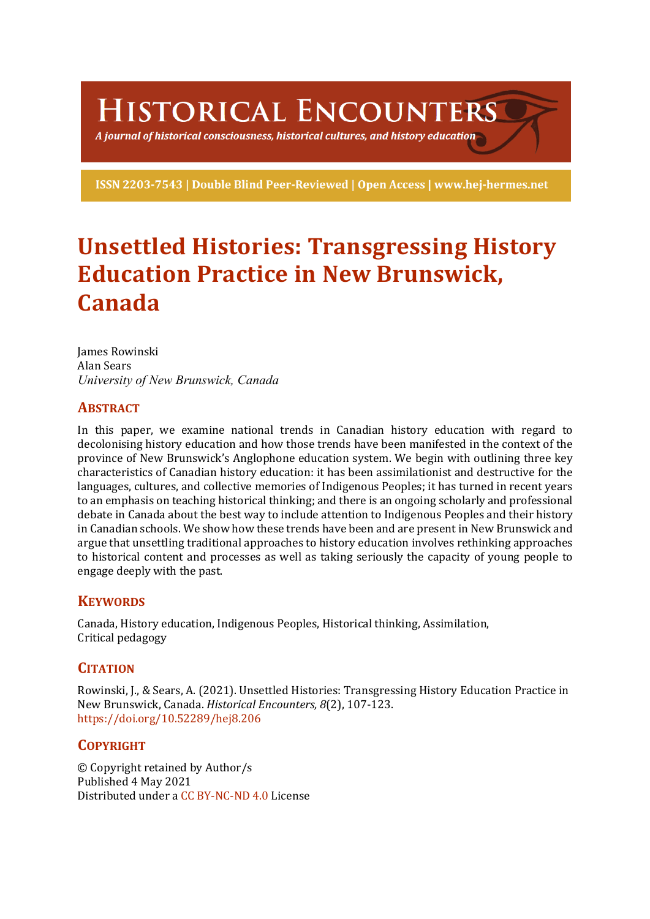HISTORICAL ENCOUNTERS

A journal of historical consciousness, historical cultures, and history education  $\geq$ 

ISSN 2203-7543 | Double Blind Peer-Reviewed | Open Access | www.hej-hermes.net

# **Unsettled Histories: Transgressing History Education Practice in New Brunswick, Canada**

James Rowinski Alan Sears *University of New Brunswick, Canada*

# **ABSTRACT**

In this paper, we examine national trends in Canadian history education with regard to decolonising history education and how those trends have been manifested in the context of the province of New Brunswick's Anglophone education system. We begin with outlining three key characteristics of Canadian history education: it has been assimilationist and destructive for the languages, cultures, and collective memories of Indigenous Peoples; it has turned in recent years to an emphasis on teaching historical thinking; and there is an ongoing scholarly and professional debate in Canada about the best way to include attention to Indigenous Peoples and their history in Canadian schools. We show how these trends have been and are present in New Brunswick and argue that unsettling traditional approaches to history education involves rethinking approaches to historical content and processes as well as taking seriously the capacity of young people to engage deeply with the past.

# **KEYWORDS**

Canada, History education, Indigenous Peoples, Historical thinking, Assimilation, Critical pedagogy

# **CITATION**

Rowinski, J., & Sears, A. (2021). Unsettled Histories: Transgressing History Education Practice in New Brunswick, Canada. *Historical Encounters*, 8(2), 107-123. https://doi.org/10.52289/hej8.206

# **COPYRIGHT**

© Copyright retained by Author/s Published 4 May 2021 Distributed under a CC BY-NC-ND 4.0 License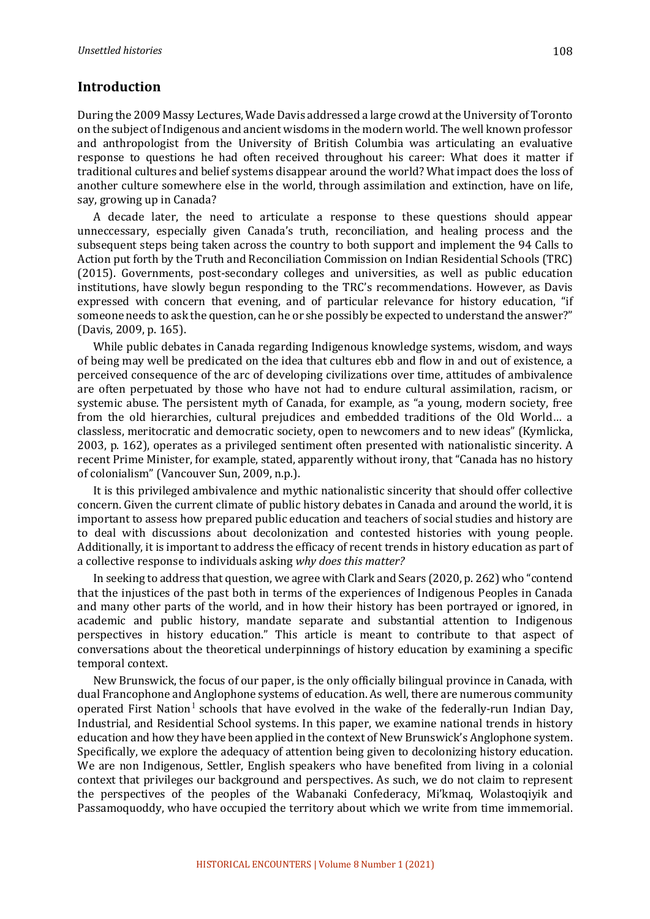## **Introduction**

During the 2009 Massy Lectures, Wade Davis addressed a large crowd at the University of Toronto on the subject of Indigenous and ancient wisdoms in the modern world. The well known professor and anthropologist from the University of British Columbia was articulating an evaluative response to questions he had often received throughout his career: What does it matter if traditional cultures and belief systems disappear around the world? What impact does the loss of another culture somewhere else in the world, through assimilation and extinction, have on life, say, growing up in Canada?

A decade later, the need to articulate a response to these questions should appear unneccessary, especially given Canada's truth, reconciliation, and healing process and the subsequent steps being taken across the country to both support and implement the 94 Calls to Action put forth by the Truth and Reconciliation Commission on Indian Residential Schools (TRC) (2015). Governments, post-secondary colleges and universities, as well as public education institutions, have slowly begun responding to the TRC's recommendations. However, as Davis expressed with concern that evening, and of particular relevance for history education, "if someone needs to ask the question, can he or she possibly be expected to understand the answer?" (Davis, 2009, p. 165).

While public debates in Canada regarding Indigenous knowledge systems, wisdom, and ways of being may well be predicated on the idea that cultures ebb and flow in and out of existence, a perceived consequence of the arc of developing civilizations over time, attitudes of ambivalence are often perpetuated by those who have not had to endure cultural assimilation, racism, or systemic abuse. The persistent myth of Canada, for example, as "a young, modern society, free from the old hierarchies, cultural prejudices and embedded traditions of the Old World... a classless, meritocratic and democratic society, open to newcomers and to new ideas" (Kymlicka, 2003, p. 162), operates as a privileged sentiment often presented with nationalistic sincerity. A recent Prime Minister, for example, stated, apparently without irony, that "Canada has no history of colonialism" (Vancouver Sun, 2009, n.p.).

It is this privileged ambivalence and mythic nationalistic sincerity that should offer collective concern. Given the current climate of public history debates in Canada and around the world, it is important to assess how prepared public education and teachers of social studies and history are to deal with discussions about decolonization and contested histories with young people. Additionally, it is important to address the efficacy of recent trends in history education as part of a collective response to individuals asking why does this matter?

In seeking to address that question, we agree with Clark and Sears (2020, p. 262) who "contend that the injustices of the past both in terms of the experiences of Indigenous Peoples in Canada and many other parts of the world, and in how their history has been portrayed or ignored, in academic and public history, mandate separate and substantial attention to Indigenous perspectives in history education." This article is meant to contribute to that aspect of conversations about the theoretical underpinnings of history education by examining a specific temporal context.

New Brunswick, the focus of our paper, is the only officially bilingual province in Canada, with dual Francophone and Anglophone systems of education. As well, there are numerous community operated First Nation<sup>1</sup> schools that have evolved in the wake of the federally-run Indian Day, Industrial, and Residential School systems. In this paper, we examine national trends in history education and how they have been applied in the context of New Brunswick's Anglophone system. Specifically, we explore the adequacy of attention being given to decolonizing history education. We are non Indigenous, Settler, English speakers who have benefited from living in a colonial context that privileges our background and perspectives. As such, we do not claim to represent the perspectives of the peoples of the Wabanaki Confederacy, Mi'kmaq, Wolastoqiyik and Passamoquoddy, who have occupied the territory about which we write from time immemorial.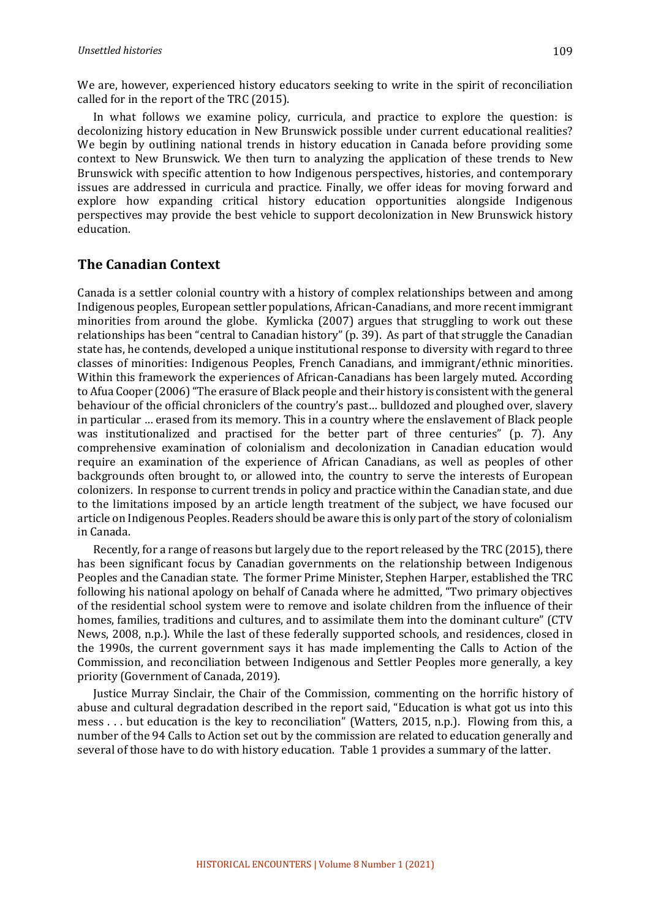We are, however, experienced history educators seeking to write in the spirit of reconciliation called for in the report of the TRC (2015).

In what follows we examine policy, curricula, and practice to explore the question: is decolonizing history education in New Brunswick possible under current educational realities? We begin by outlining national trends in history education in Canada before providing some context to New Brunswick. We then turn to analyzing the application of these trends to New Brunswick with specific attention to how Indigenous perspectives, histories, and contemporary issues are addressed in curricula and practice. Finally, we offer ideas for moving forward and explore how expanding critical history education opportunities alongside Indigenous perspectives may provide the best vehicle to support decolonization in New Brunswick history education. 

## **The Canadian Context**

Canada is a settler colonial country with a history of complex relationships between and among Indigenous peoples, European settler populations, African-Canadians, and more recent immigrant minorities from around the globe. Kymlicka (2007) argues that struggling to work out these relationships has been "central to Canadian history" (p. 39). As part of that struggle the Canadian state has, he contends, developed a unique institutional response to diversity with regard to three classes of minorities: Indigenous Peoples, French Canadians, and immigrant/ethnic minorities. Within this framework the experiences of African-Canadians has been largely muted. According to Afua Cooper (2006) "The erasure of Black people and their history is consistent with the general behaviour of the official chroniclers of the country's past... bulldozed and ploughed over, slavery in particular ... erased from its memory. This in a country where the enslavement of Black people was institutionalized and practised for the better part of three centuries" (p. 7). Any comprehensive examination of colonialism and decolonization in Canadian education would require an examination of the experience of African Canadians, as well as peoples of other backgrounds often brought to, or allowed into, the country to serve the interests of European colonizers. In response to current trends in policy and practice within the Canadian state, and due to the limitations imposed by an article length treatment of the subject, we have focused our article on Indigenous Peoples. Readers should be aware this is only part of the story of colonialism in Canada. 

Recently, for a range of reasons but largely due to the report released by the TRC (2015), there has been significant focus by Canadian governments on the relationship between Indigenous Peoples and the Canadian state. The former Prime Minister, Stephen Harper, established the TRC following his national apology on behalf of Canada where he admitted, "Two primary objectives of the residential school system were to remove and isolate children from the influence of their homes, families, traditions and cultures, and to assimilate them into the dominant culture" (CTV News, 2008, n.p.). While the last of these federally supported schools, and residences, closed in the 1990s, the current government says it has made implementing the Calls to Action of the Commission, and reconciliation between Indigenous and Settler Peoples more generally, a key priority (Government of Canada, 2019).

Justice Murray Sinclair, the Chair of the Commission, commenting on the horrific history of abuse and cultural degradation described in the report said, "Education is what got us into this mess ... but education is the key to reconciliation" (Watters, 2015, n.p.). Flowing from this, a number of the 94 Calls to Action set out by the commission are related to education generally and several of those have to do with history education. Table 1 provides a summary of the latter.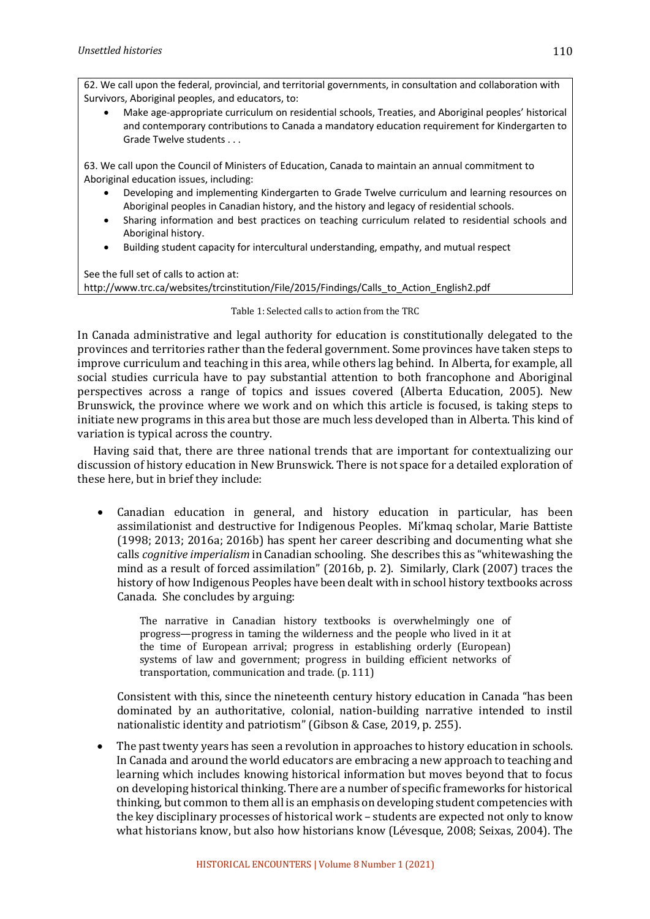62. We call upon the federal, provincial, and territorial governments, in consultation and collaboration with Survivors, Aboriginal peoples, and educators, to:

• Make age-appropriate curriculum on residential schools, Treaties, and Aboriginal peoples' historical and contemporary contributions to Canada a mandatory education requirement for Kindergarten to Grade Twelve students . . .

63. We call upon the Council of Ministers of Education, Canada to maintain an annual commitment to Aboriginal education issues, including:

- Developing and implementing Kindergarten to Grade Twelve curriculum and learning resources on Aboriginal peoples in Canadian history, and the history and legacy of residential schools.
- Sharing information and best practices on teaching curriculum related to residential schools and Aboriginal history.
- Building student capacity for intercultural understanding, empathy, and mutual respect

See the full set of calls to action at: http://www.trc.ca/websites/trcinstitution/File/2015/Findings/Calls\_to\_Action\_English2.pdf

#### Table 1: Selected calls to action from the TRC

In Canada administrative and legal authority for education is constitutionally delegated to the provinces and territories rather than the federal government. Some provinces have taken steps to improve curriculum and teaching in this area, while others lag behind. In Alberta, for example, all social studies curricula have to pay substantial attention to both francophone and Aboriginal perspectives across a range of topics and issues covered (Alberta Education, 2005). New Brunswick, the province where we work and on which this article is focused, is taking steps to initiate new programs in this area but those are much less developed than in Alberta. This kind of variation is typical across the country.

Having said that, there are three national trends that are important for contextualizing our discussion of history education in New Brunswick. There is not space for a detailed exploration of these here, but in brief they include:

Canadian education in general, and history education in particular, has been assimilationist and destructive for Indigenous Peoples. Mi'kmaq scholar, Marie Battiste  $(1998; 2013; 2016a; 2016b)$  has spent her career describing and documenting what she calls *cognitive imperialism* in Canadian schooling. She describes this as "whitewashing the mind as a result of forced assimilation" (2016b, p. 2). Similarly, Clark (2007) traces the history of how Indigenous Peoples have been dealt with in school history textbooks across Canada. She concludes by arguing:

The narrative in Canadian history textbooks is overwhelmingly one of progress—progress in taming the wilderness and the people who lived in it at the time of European arrival; progress in establishing orderly (European) systems of law and government; progress in building efficient networks of transportation, communication and trade. (p. 111)

Consistent with this, since the nineteenth century history education in Canada "has been dominated by an authoritative, colonial, nation-building narrative intended to instil nationalistic identity and patriotism" (Gibson & Case, 2019, p. 255).

• The past twenty years has seen a revolution in approaches to history education in schools. In Canada and around the world educators are embracing a new approach to teaching and learning which includes knowing historical information but moves beyond that to focus on developing historical thinking. There are a number of specific frameworks for historical thinking, but common to them all is an emphasis on developing student competencies with the key disciplinary processes of historical work - students are expected not only to know what historians know, but also how historians know (Lévesque, 2008; Seixas, 2004). The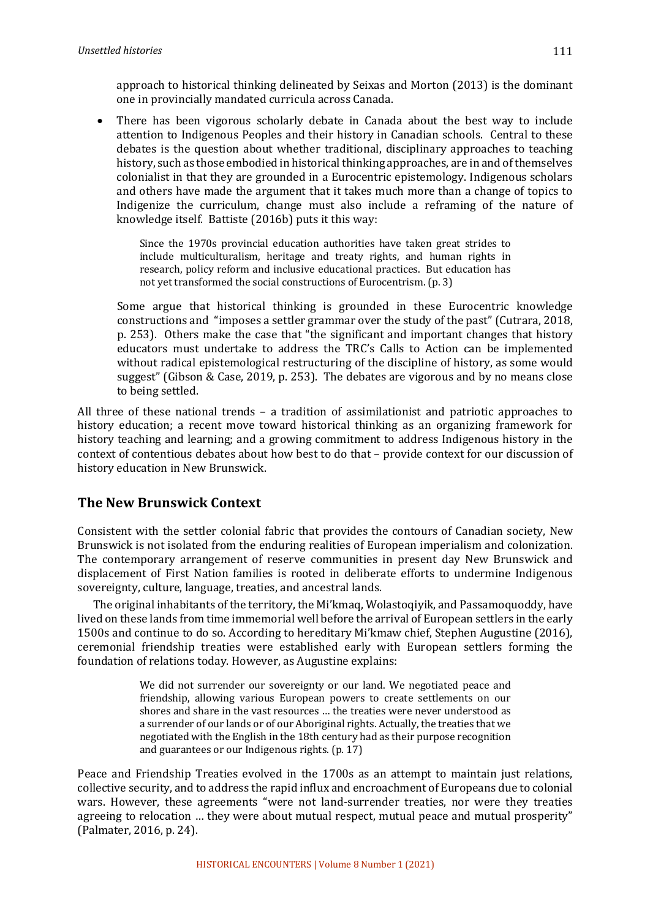approach to historical thinking delineated by Seixas and Morton (2013) is the dominant one in provincially mandated curricula across Canada.

There has been vigorous scholarly debate in Canada about the best way to include attention to Indigenous Peoples and their history in Canadian schools. Central to these debates is the question about whether traditional, disciplinary approaches to teaching history, such as those embodied in historical thinking approaches, are in and of themselves colonialist in that they are grounded in a Eurocentric epistemology. Indigenous scholars and others have made the argument that it takes much more than a change of topics to Indigenize the curriculum, change must also include a reframing of the nature of knowledge itself. Battiste (2016b) puts it this way:

Since the 1970s provincial education authorities have taken great strides to include multiculturalism, heritage and treaty rights, and human rights in research, policy reform and inclusive educational practices. But education has not yet transformed the social constructions of Eurocentrism. (p. 3)

Some argue that historical thinking is grounded in these Eurocentric knowledge constructions and "imposes a settler grammar over the study of the past" (Cutrara, 2018, p. 253). Others make the case that "the significant and important changes that history educators must undertake to address the TRC's Calls to Action can be implemented without radical epistemological restructuring of the discipline of history, as some would suggest" (Gibson & Case, 2019, p. 253). The debates are vigorous and by no means close to being settled.

All three of these national trends  $-$  a tradition of assimilationist and patriotic approaches to history education; a recent move toward historical thinking as an organizing framework for history teaching and learning; and a growing commitment to address Indigenous history in the context of contentious debates about how best to do that – provide context for our discussion of history education in New Brunswick.

# **The New Brunswick Context**

Consistent with the settler colonial fabric that provides the contours of Canadian society, New Brunswick is not isolated from the enduring realities of European imperialism and colonization. The contemporary arrangement of reserve communities in present day New Brunswick and displacement of First Nation families is rooted in deliberate efforts to undermine Indigenous sovereignty, culture, language, treaties, and ancestral lands.

The original inhabitants of the territory, the Mi'kmaq, Wolastoqiyik, and Passamoquoddy, have lived on these lands from time immemorial well before the arrival of European settlers in the early 1500s and continue to do so. According to hereditary Mi'kmaw chief, Stephen Augustine (2016), ceremonial friendship treaties were established early with European settlers forming the foundation of relations today. However, as Augustine explains:

> We did not surrender our sovereignty or our land. We negotiated peace and friendship, allowing various European powers to create settlements on our shores and share in the vast resources ... the treaties were never understood as a surrender of our lands or of our Aboriginal rights. Actually, the treaties that we negotiated with the English in the 18th century had as their purpose recognition and guarantees or our Indigenous rights. (p. 17)

Peace and Friendship Treaties evolved in the 1700s as an attempt to maintain just relations, collective security, and to address the rapid influx and encroachment of Europeans due to colonial wars. However, these agreements "were not land-surrender treaties, nor were they treaties agreeing to relocation ... they were about mutual respect, mutual peace and mutual prosperity" (Palmater, 2016, p. 24).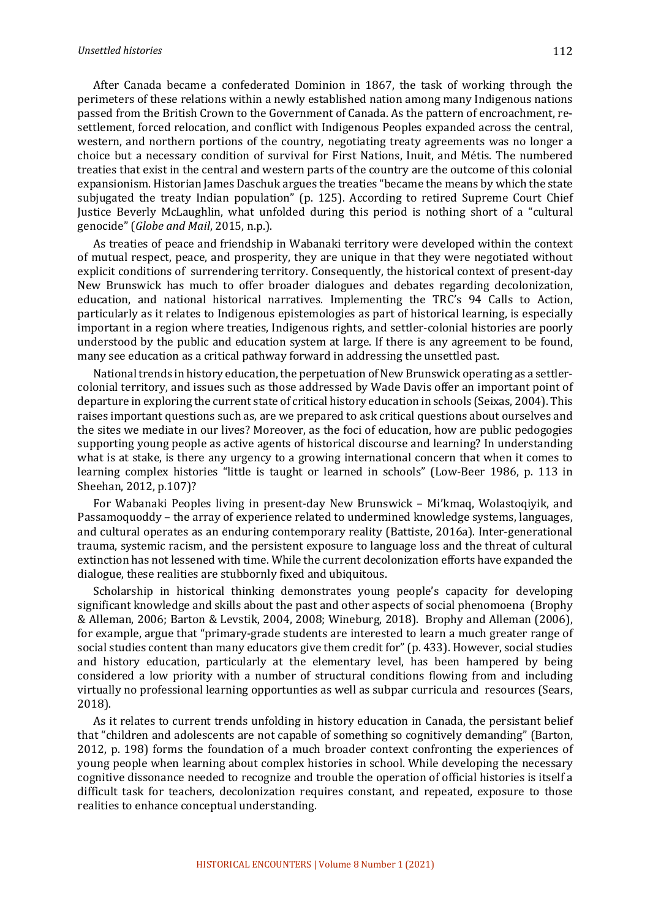#### *Unsettled histories*

After Canada became a confederated Dominion in 1867, the task of working through the perimeters of these relations within a newly established nation among many Indigenous nations passed from the British Crown to the Government of Canada. As the pattern of encroachment, resettlement, forced relocation, and conflict with Indigenous Peoples expanded across the central, western, and northern portions of the country, negotiating treaty agreements was no longer a choice but a necessary condition of survival for First Nations, Inuit, and Métis. The numbered treaties that exist in the central and western parts of the country are the outcome of this colonial expansionism. Historian James Daschuk argues the treaties "became the means by which the state subjugated the treaty Indian population" (p. 125). According to retired Supreme Court Chief Justice Beverly McLaughlin, what unfolded during this period is nothing short of a "cultural genocide" (*Globe and Mail*, 2015, n.p.).

As treaties of peace and friendship in Wabanaki territory were developed within the context of mutual respect, peace, and prosperity, they are unique in that they were negotiated without explicit conditions of surrendering territory. Consequently, the historical context of present-day New Brunswick has much to offer broader dialogues and debates regarding decolonization, education, and national historical narratives. Implementing the TRC's 94 Calls to Action, particularly as it relates to Indigenous epistemologies as part of historical learning, is especially important in a region where treaties, Indigenous rights, and settler-colonial histories are poorly understood by the public and education system at large. If there is any agreement to be found, many see education as a critical pathway forward in addressing the unsettled past.

National trends in history education, the perpetuation of New Brunswick operating as a settlercolonial territory, and issues such as those addressed by Wade Davis offer an important point of departure in exploring the current state of critical history education in schools (Seixas, 2004). This raises important questions such as, are we prepared to ask critical questions about ourselves and the sites we mediate in our lives? Moreover, as the foci of education, how are public pedogogies supporting young people as active agents of historical discourse and learning? In understanding what is at stake, is there any urgency to a growing international concern that when it comes to learning complex histories "little is taught or learned in schools" (Low-Beer 1986, p. 113 in Sheehan, 2012, p.107)?

For Wabanaki Peoples living in present-day New Brunswick - Mi'kmaq, Wolastoqiyik, and Passamoquoddy – the array of experience related to undermined knowledge systems, languages, and cultural operates as an enduring contemporary reality (Battiste, 2016a). Inter-generational trauma, systemic racism, and the persistent exposure to language loss and the threat of cultural extinction has not lessened with time. While the current decolonization efforts have expanded the dialogue, these realities are stubbornly fixed and ubiquitous.

Scholarship in historical thinking demonstrates young people's capacity for developing significant knowledge and skills about the past and other aspects of social phenomoena (Brophy & Alleman, 2006; Barton & Levstik, 2004, 2008; Wineburg, 2018). Brophy and Alleman (2006), for example, argue that "primary-grade students are interested to learn a much greater range of social studies content than many educators give them credit for"  $(p. 433)$ . However, social studies and history education, particularly at the elementary level, has been hampered by being considered a low priority with a number of structural conditions flowing from and including virtually no professional learning opportunties as well as subpar curricula and resources (Sears, 2018). 

As it relates to current trends unfolding in history education in Canada, the persistant belief that "children and adolescents are not capable of something so cognitively demanding" (Barton, 2012, p. 198) forms the foundation of a much broader context confronting the experiences of young people when learning about complex histories in school. While developing the necessary cognitive dissonance needed to recognize and trouble the operation of official histories is itself a difficult task for teachers, decolonization requires constant, and repeated, exposure to those realities to enhance conceptual understanding.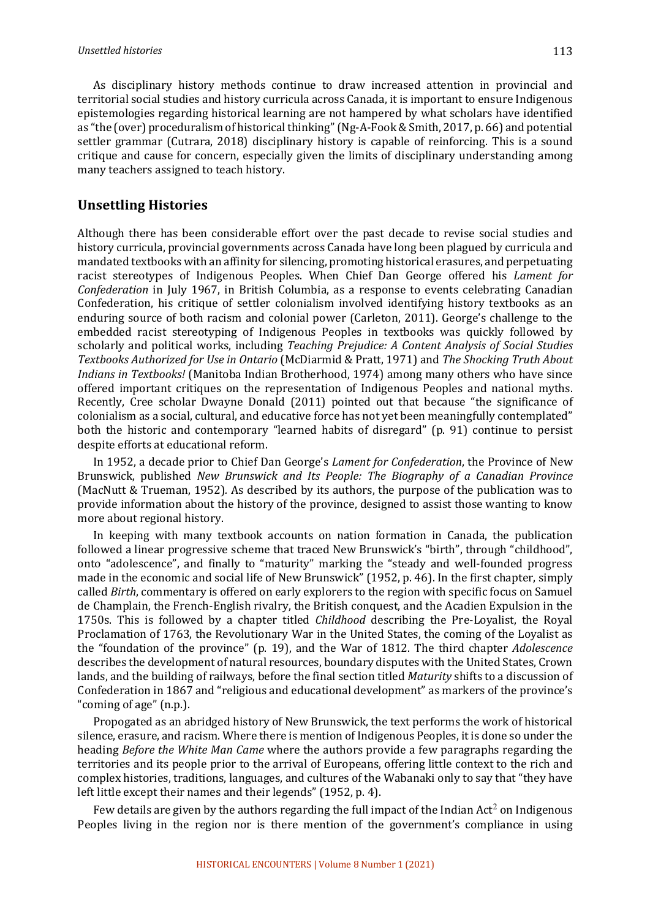As disciplinary history methods continue to draw increased attention in provincial and territorial social studies and history curricula across Canada, it is important to ensure Indigenous epistemologies regarding historical learning are not hampered by what scholars have identified as "the (over) proceduralism of historical thinking" (Ng-A-Fook & Smith, 2017, p. 66) and potential settler grammar (Cutrara, 2018) disciplinary history is capable of reinforcing. This is a sound critique and cause for concern, especially given the limits of disciplinary understanding among many teachers assigned to teach history.

#### **Unsettling Histories**

Although there has been considerable effort over the past decade to revise social studies and history curricula, provincial governments across Canada have long been plagued by curricula and mandated textbooks with an affinity for silencing, promoting historical erasures, and perpetuating racist stereotypes of Indigenous Peoples. When Chief Dan George offered his *Lament for Confederation* in July 1967, in British Columbia, as a response to events celebrating Canadian Confederation, his critique of settler colonialism involved identifying history textbooks as an enduring source of both racism and colonial power (Carleton, 2011). George's challenge to the embedded racist stereotyping of Indigenous Peoples in textbooks was quickly followed by scholarly and political works, including *Teaching Prejudice: A Content Analysis of Social Studies Textbooks Authorized for Use in Ontario* (McDiarmid & Pratt, 1971) and *The Shocking Truth About Indians in Textbooks!* (Manitoba Indian Brotherhood, 1974) among many others who have since offered important critiques on the representation of Indigenous Peoples and national myths. Recently, Cree scholar Dwayne Donald (2011) pointed out that because "the significance of colonialism as a social, cultural, and educative force has not yet been meaningfully contemplated" both the historic and contemporary "learned habits of disregard" (p. 91) continue to persist despite efforts at educational reform.

In 1952, a decade prior to Chief Dan George's *Lament for Confederation*, the Province of New Brunswick, published *New Brunswick and Its People: The Biography of a Canadian Province* (MacNutt & Trueman, 1952). As described by its authors, the purpose of the publication was to provide information about the history of the province, designed to assist those wanting to know more about regional history.

In keeping with many textbook accounts on nation formation in Canada, the publication followed a linear progressive scheme that traced New Brunswick's "birth", through "childhood", onto "adolescence", and finally to "maturity" marking the "steady and well-founded progress made in the economic and social life of New Brunswick" (1952, p. 46). In the first chapter, simply called *Birth*, commentary is offered on early explorers to the region with specific focus on Samuel de Champlain, the French-English rivalry, the British conquest, and the Acadien Expulsion in the 1750s. This is followed by a chapter titled *Childhood* describing the Pre-Loyalist, the Royal Proclamation of 1763, the Revolutionary War in the United States, the coming of the Loyalist as the "foundation of the province" (p. 19), and the War of 1812. The third chapter *Adolescence* describes the development of natural resources, boundary disputes with the United States, Crown lands, and the building of railways, before the final section titled *Maturity* shifts to a discussion of Confederation in 1867 and "religious and educational development" as markers of the province's "coming of age" (n.p.).

Propogated as an abridged history of New Brunswick, the text performs the work of historical silence, erasure, and racism. Where there is mention of Indigenous Peoples, it is done so under the heading *Before the White Man Came* where the authors provide a few paragraphs regarding the territories and its people prior to the arrival of Europeans, offering little context to the rich and complex histories, traditions, languages, and cultures of the Wabanaki only to say that "they have left little except their names and their legends" (1952, p. 4).

Few details are given by the authors regarding the full impact of the Indian Act<sup>2</sup> on Indigenous Peoples living in the region nor is there mention of the government's compliance in using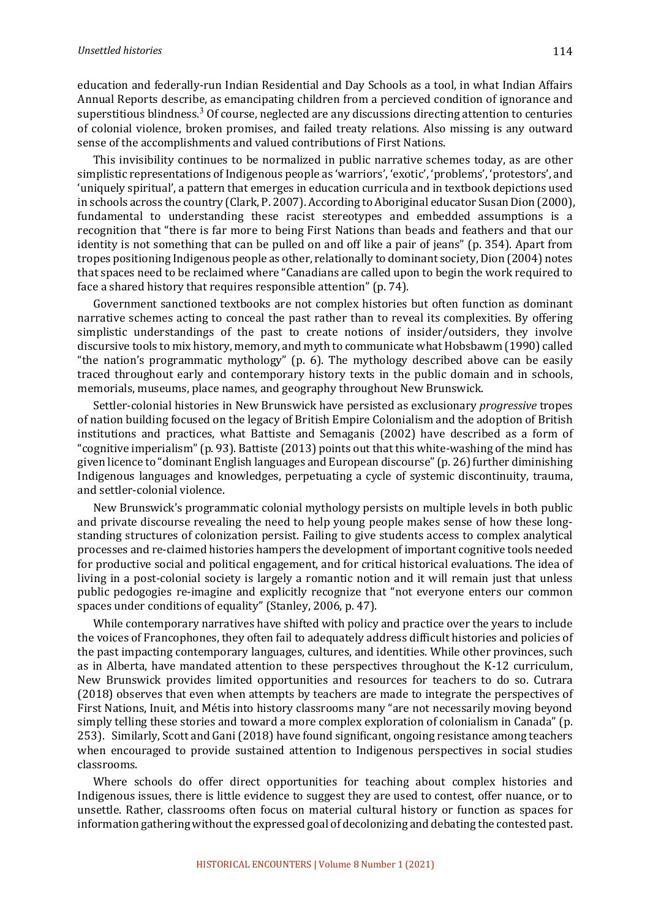education and federally-run Indian Residential and Day Schools as a tool, in what Indian Affairs Annual Reports describe, as emancipating children from a percieved condition of ignorance and superstitious blindness.<sup>3</sup> Of course, neglected are any discussions directing attention to centuries of colonial violence, broken promises, and failed treaty relations. Also missing is any outward sense of the accomplishments and valued contributions of First Nations.

This invisibility continues to be normalized in public narrative schemes today, as are other simplistic representations of Indigenous people as 'warriors', 'exotic', 'problems', 'protestors', and 'uniquely spiritual', a pattern that emerges in education curricula and in textbook depictions used in schools across the country (Clark, P. 2007). According to Aboriginal educator Susan Dion (2000), fundamental to understanding these racist stereotypes and embedded assumptions is a recognition that "there is far more to being First Nations than beads and feathers and that our identity is not something that can be pulled on and off like a pair of jeans" (p. 354). Apart from tropes positioning Indigenous people as other, relationally to dominant society, Dion (2004) notes that spaces need to be reclaimed where "Canadians are called upon to begin the work required to face a shared history that requires responsible attention" (p. 74).

Government sanctioned textbooks are not complex histories but often function as dominant narrative schemes acting to conceal the past rather than to reveal its complexities. By offering simplistic understandings of the past to create notions of insider/outsiders, they involve discursive tools to mix history, memory, and myth to communicate what Hobsbawm (1990) called "the nation's programmatic mythology" (p. 6). The mythology described above can be easily traced throughout early and contemporary history texts in the public domain and in schools, memorials, museums, place names, and geography throughout New Brunswick.

Settler-colonial histories in New Brunswick have persisted as exclusionary *progressive* tropes of nation building focused on the legacy of British Empire Colonialism and the adoption of British institutions and practices, what Battiste and Semaganis (2002) have described as a form of "cognitive imperialism"  $(p. 93)$ . Battiste  $(2013)$  points out that this white-washing of the mind has given licence to "dominant English languages and European discourse" ( $p. 26$ ) further diminishing Indigenous languages and knowledges, perpetuating a cycle of systemic discontinuity, trauma, and settler-colonial violence.

New Brunswick's programmatic colonial mythology persists on multiple levels in both public and private discourse revealing the need to help young people makes sense of how these longstanding structures of colonization persist. Failing to give students access to complex analytical processes and re-claimed histories hampers the development of important cognitive tools needed for productive social and political engagement, and for critical historical evaluations. The idea of living in a post-colonial society is largely a romantic notion and it will remain just that unless public pedogogies re-imagine and explicitly recognize that "not everyone enters our common spaces under conditions of equality" (Stanley, 2006, p. 47).

While contemporary narratives have shifted with policy and practice over the years to include the voices of Francophones, they often fail to adequately address difficult histories and policies of the past impacting contemporary languages, cultures, and identities. While other provinces, such as in Alberta, have mandated attention to these perspectives throughout the K-12 curriculum, New Brunswick provides limited opportunities and resources for teachers to do so. Cutrara (2018) observes that even when attempts by teachers are made to integrate the perspectives of First Nations, Inuit, and Métis into history classrooms many "are not necessarily moving beyond simply telling these stories and toward a more complex exploration of colonialism in Canada" (p. 253). Similarly, Scott and Gani (2018) have found significant, ongoing resistance among teachers when encouraged to provide sustained attention to Indigenous perspectives in social studies classrooms. 

Where schools do offer direct opportunities for teaching about complex histories and Indigenous issues, there is little evidence to suggest they are used to contest, offer nuance, or to unsettle. Rather, classrooms often focus on material cultural history or function as spaces for information gathering without the expressed goal of decolonizing and debating the contested past.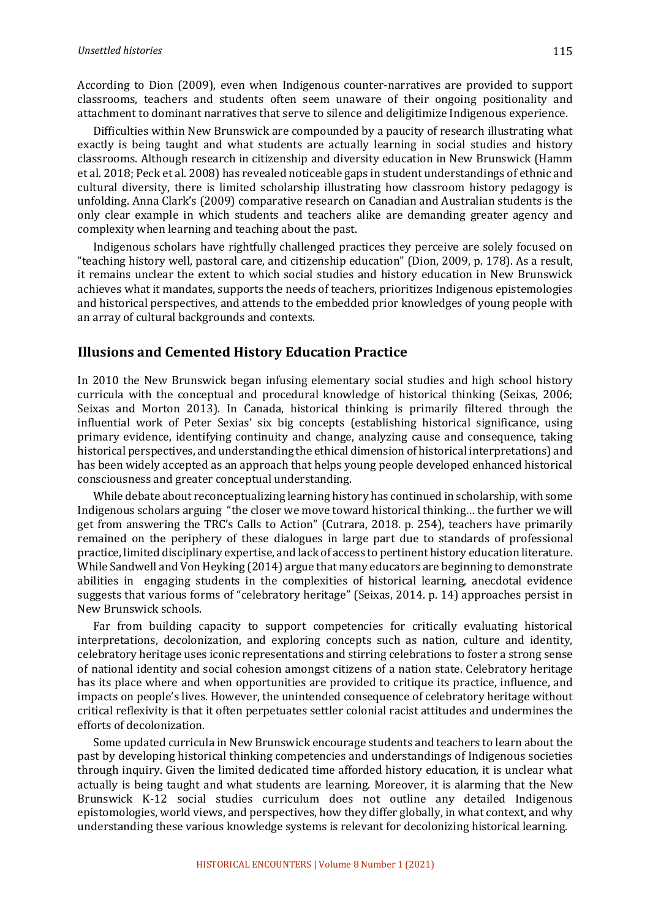According to Dion (2009), even when Indigenous counter-narratives are provided to support classrooms, teachers and students often seem unaware of their ongoing positionality and attachment to dominant narratives that serve to silence and deligitimize Indigenous experience.

Difficulties within New Brunswick are compounded by a paucity of research illustrating what exactly is being taught and what students are actually learning in social studies and history classrooms. Although research in citizenship and diversity education in New Brunswick (Hamm et al. 2018; Peck et al. 2008) has revealed noticeable gaps in student understandings of ethnic and cultural diversity, there is limited scholarship illustrating how classroom history pedagogy is unfolding. Anna Clark's (2009) comparative research on Canadian and Australian students is the only clear example in which students and teachers alike are demanding greater agency and complexity when learning and teaching about the past.

Indigenous scholars have rightfully challenged practices they perceive are solely focused on "teaching history well, pastoral care, and citizenship education" (Dion, 2009, p. 178). As a result, it remains unclear the extent to which social studies and history education in New Brunswick achieves what it mandates, supports the needs of teachers, prioritizes Indigenous epistemologies and historical perspectives, and attends to the embedded prior knowledges of young people with an array of cultural backgrounds and contexts.

#### **Illusions and Cemented History Education Practice**

In 2010 the New Brunswick began infusing elementary social studies and high school history curricula with the conceptual and procedural knowledge of historical thinking (Seixas, 2006; Seixas and Morton 2013). In Canada, historical thinking is primarily filtered through the influential work of Peter Sexias' six big concepts (establishing historical significance, using primary evidence, identifying continuity and change, analyzing cause and consequence, taking historical perspectives, and understanding the ethical dimension of historical interpretations) and has been widely accepted as an approach that helps young people developed enhanced historical consciousness and greater conceptual understanding.

While debate about reconceptualizing learning history has continued in scholarship, with some Indigenous scholars arguing "the closer we move toward historical thinking... the further we will get from answering the TRC's Calls to Action" (Cutrara, 2018. p. 254), teachers have primarily remained on the periphery of these dialogues in large part due to standards of professional practice, limited disciplinary expertise, and lack of access to pertinent history education literature. While Sandwell and Von Heyking (2014) argue that many educators are beginning to demonstrate abilities in engaging students in the complexities of historical learning, anecdotal evidence suggests that various forms of "celebratory heritage" (Seixas, 2014. p. 14) approaches persist in New Brunswick schools.

Far from building capacity to support competencies for critically evaluating historical interpretations, decolonization, and exploring concepts such as nation, culture and identity, celebratory heritage uses iconic representations and stirring celebrations to foster a strong sense of national identity and social cohesion amongst citizens of a nation state. Celebratory heritage has its place where and when opportunities are provided to critique its practice, influence, and impacts on people's lives. However, the unintended consequence of celebratory heritage without critical reflexivity is that it often perpetuates settler colonial racist attitudes and undermines the efforts of decolonization.

Some updated curricula in New Brunswick encourage students and teachers to learn about the past by developing historical thinking competencies and understandings of Indigenous societies through inquiry. Given the limited dedicated time afforded history education, it is unclear what actually is being taught and what students are learning. Moreover, it is alarming that the New Brunswick K-12 social studies curriculum does not outline any detailed Indigenous epistomologies, world views, and perspectives, how they differ globally, in what context, and why understanding these various knowledge systems is relevant for decolonizing historical learning.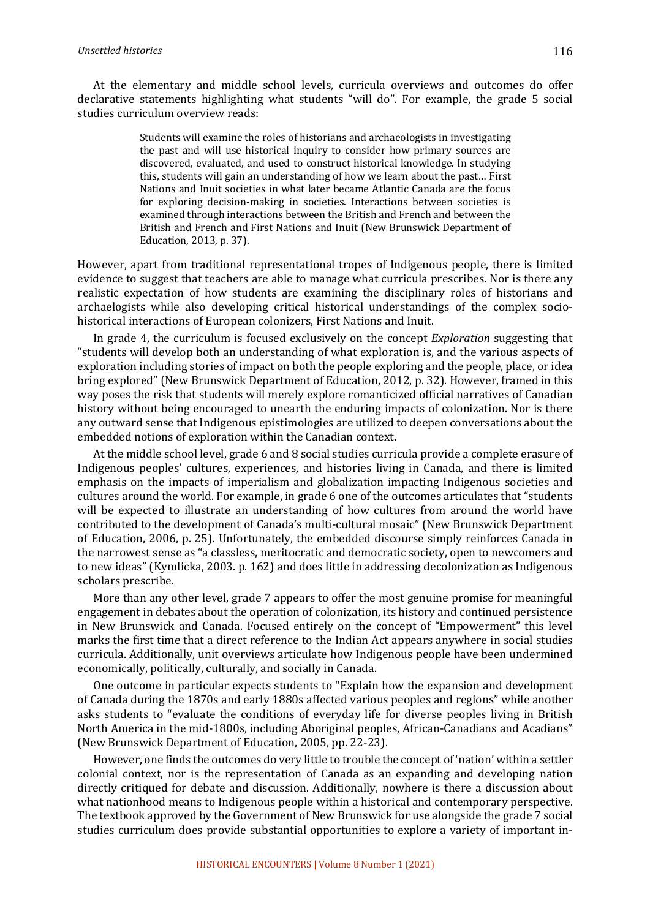At the elementary and middle school levels, curricula overviews and outcomes do offer declarative statements highlighting what students "will do". For example, the grade 5 social studies curriculum overview reads:

> Students will examine the roles of historians and archaeologists in investigating the past and will use historical inquiry to consider how primary sources are discovered, evaluated, and used to construct historical knowledge. In studying this, students will gain an understanding of how we learn about the past... First Nations and Inuit societies in what later became Atlantic Canada are the focus for exploring decision-making in societies. Interactions between societies is examined through interactions between the British and French and between the British and French and First Nations and Inuit (New Brunswick Department of Education, 2013, p. 37).

However, apart from traditional representational tropes of Indigenous people, there is limited evidence to suggest that teachers are able to manage what curricula prescribes. Nor is there any realistic expectation of how students are examining the disciplinary roles of historians and archaelogists while also developing critical historical understandings of the complex sociohistorical interactions of European colonizers, First Nations and Inuit.

In grade 4, the curriculum is focused exclusively on the concept *Exploration* suggesting that "students will develop both an understanding of what exploration is, and the various aspects of exploration including stories of impact on both the people exploring and the people, place, or idea bring explored" (New Brunswick Department of Education, 2012, p. 32). However, framed in this way poses the risk that students will merely explore romanticized official narratives of Canadian history without being encouraged to unearth the enduring impacts of colonization. Nor is there any outward sense that Indigenous epistimologies are utilized to deepen conversations about the embedded notions of exploration within the Canadian context.

At the middle school level, grade 6 and 8 social studies curricula provide a complete erasure of Indigenous peoples' cultures, experiences, and histories living in Canada, and there is limited emphasis on the impacts of imperialism and globalization impacting Indigenous societies and cultures around the world. For example, in grade 6 one of the outcomes articulates that "students will be expected to illustrate an understanding of how cultures from around the world have contributed to the development of Canada's multi-cultural mosaic" (New Brunswick Department of Education, 2006, p. 25). Unfortunately, the embedded discourse simply reinforces Canada in the narrowest sense as "a classless, meritocratic and democratic society, open to newcomers and to new ideas" (Kymlicka, 2003. p. 162) and does little in addressing decolonization as Indigenous scholars prescribe.

More than any other level, grade 7 appears to offer the most genuine promise for meaningful engagement in debates about the operation of colonization, its history and continued persistence in New Brunswick and Canada. Focused entirely on the concept of "Empowerment" this level marks the first time that a direct reference to the Indian Act appears anywhere in social studies curricula. Additionally, unit overviews articulate how Indigenous people have been undermined economically, politically, culturally, and socially in Canada.

One outcome in particular expects students to "Explain how the expansion and development of Canada during the 1870s and early 1880s affected various peoples and regions" while another asks students to "evaluate the conditions of everyday life for diverse peoples living in British North America in the mid-1800s, including Aboriginal peoples, African-Canadians and Acadians" (New Brunswick Department of Education, 2005, pp. 22-23).

However, one finds the outcomes do very little to trouble the concept of 'nation' within a settler colonial context, nor is the representation of Canada as an expanding and developing nation directly critiqued for debate and discussion. Additionally, nowhere is there a discussion about what nationhood means to Indigenous people within a historical and contemporary perspective. The textbook approved by the Government of New Brunswick for use alongside the grade 7 social studies curriculum does provide substantial opportunities to explore a variety of important in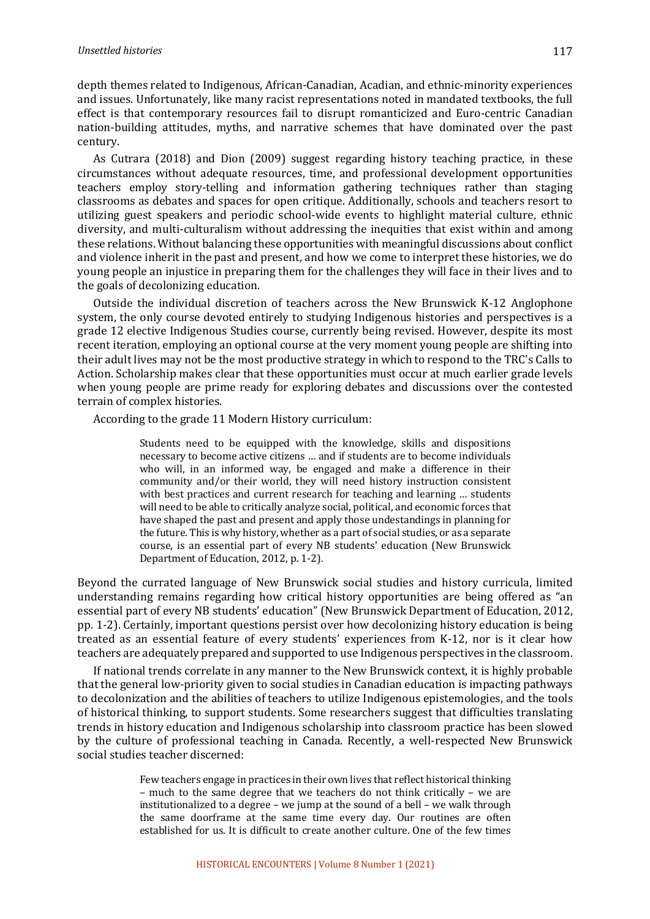depth themes related to Indigenous, African-Canadian, Acadian, and ethnic-minority experiences and issues. Unfortunately, like many racist representations noted in mandated textbooks, the full effect is that contemporary resources fail to disrupt romanticized and Euro-centric Canadian nation-building attitudes, myths, and narrative schemes that have dominated over the past century. 

As Cutrara (2018) and Dion (2009) suggest regarding history teaching practice, in these circumstances without adequate resources, time, and professional development opportunities teachers employ story-telling and information gathering techniques rather than staging classrooms as debates and spaces for open critique. Additionally, schools and teachers resort to utilizing guest speakers and periodic school-wide events to highlight material culture, ethnic diversity, and multi-culturalism without addressing the inequities that exist within and among these relations. Without balancing these opportunities with meaningful discussions about conflict and violence inherit in the past and present, and how we come to interpret these histories, we do young people an injustice in preparing them for the challenges they will face in their lives and to the goals of decolonizing education.

Outside the individual discretion of teachers across the New Brunswick K-12 Anglophone system, the only course devoted entirely to studying Indigenous histories and perspectives is a grade 12 elective Indigenous Studies course, currently being revised. However, despite its most recent iteration, employing an optional course at the very moment young people are shifting into their adult lives may not be the most productive strategy in which to respond to the TRC's Calls to Action. Scholarship makes clear that these opportunities must occur at much earlier grade levels when young people are prime ready for exploring debates and discussions over the contested terrain of complex histories.

According to the grade 11 Modern History curriculum:

Students need to be equipped with the knowledge, skills and dispositions necessary to become active citizens ... and if students are to become individuals who will, in an informed way, be engaged and make a difference in their community and/or their world, they will need history instruction consistent with best practices and current research for teaching and learning ... students will need to be able to critically analyze social, political, and economic forces that have shaped the past and present and apply those undestandings in planning for the future. This is why history, whether as a part of social studies, or as a separate course, is an essential part of every NB students' education (New Brunswick Department of Education, 2012, p. 1-2).

Beyond the currated language of New Brunswick social studies and history curricula, limited understanding remains regarding how critical history opportunities are being offered as "an essential part of every NB students' education" (New Brunswick Department of Education, 2012, pp. 1-2). Certainly, important questions persist over how decolonizing history education is being treated as an essential feature of every students' experiences from K-12, nor is it clear how teachers are adequately prepared and supported to use Indigenous perspectives in the classroom.

If national trends correlate in any manner to the New Brunswick context, it is highly probable that the general low-priority given to social studies in Canadian education is impacting pathways to decolonization and the abilities of teachers to utilize Indigenous epistemologies, and the tools of historical thinking, to support students. Some researchers suggest that difficulties translating trends in history education and Indigenous scholarship into classroom practice has been slowed by the culture of professional teaching in Canada. Recently, a well-respected New Brunswick social studies teacher discerned:

> Few teachers engage in practices in their own lives that reflect historical thinking – much to the same degree that we teachers do not think critically – we are institutionalized to a degree - we jump at the sound of a bell - we walk through the same doorframe at the same time every day. Our routines are often established for us. It is difficult to create another culture. One of the few times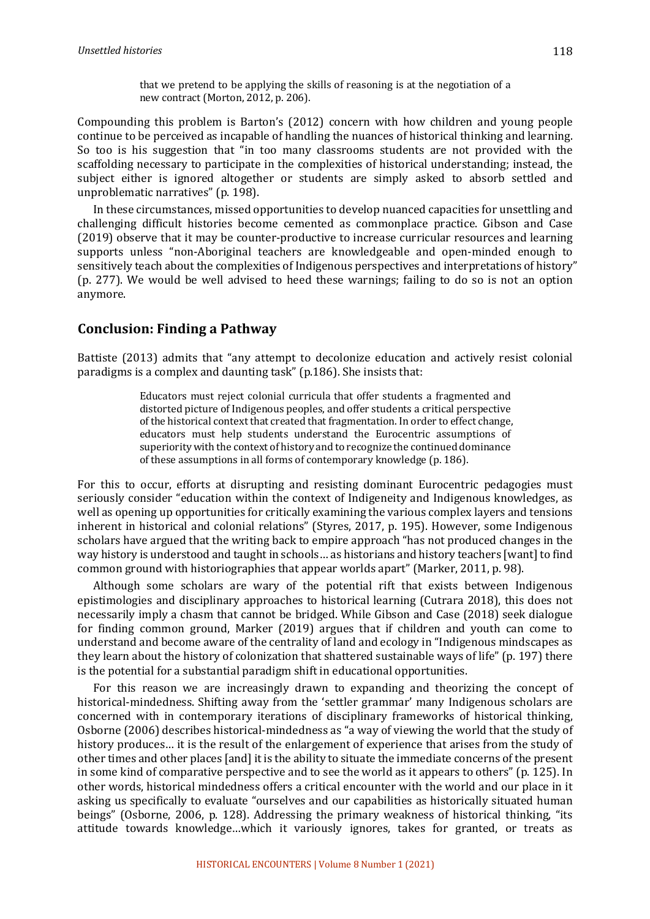that we pretend to be applying the skills of reasoning is at the negotiation of a new contract (Morton, 2012, p. 206).

Compounding this problem is Barton's (2012) concern with how children and young people continue to be perceived as incapable of handling the nuances of historical thinking and learning. So too is his suggestion that "in too many classrooms students are not provided with the scaffolding necessary to participate in the complexities of historical understanding; instead, the subject either is ignored altogether or students are simply asked to absorb settled and unproblematic narratives" (p. 198).

In these circumstances, missed opportunities to develop nuanced capacities for unsettling and challenging difficult histories become cemented as commonplace practice. Gibson and Case  $(2019)$  observe that it may be counter-productive to increase curricular resources and learning supports unless "non-Aboriginal teachers are knowledgeable and open-minded enough to sensitively teach about the complexities of Indigenous perspectives and interpretations of history" (p. 277). We would be well advised to heed these warnings; failing to do so is not an option anymore.

# **Conclusion: Finding a Pathway**

Battiste (2013) admits that "any attempt to decolonize education and actively resist colonial paradigms is a complex and daunting task" (p.186). She insists that:

> Educators must reject colonial curricula that offer students a fragmented and distorted picture of Indigenous peoples, and offer students a critical perspective of the historical context that created that fragmentation. In order to effect change, educators must help students understand the Eurocentric assumptions of superiority with the context of history and to recognize the continued dominance of these assumptions in all forms of contemporary knowledge (p. 186).

For this to occur, efforts at disrupting and resisting dominant Eurocentric pedagogies must seriously consider "education within the context of Indigeneity and Indigenous knowledges, as well as opening up opportunities for critically examining the various complex layers and tensions inherent in historical and colonial relations" (Styres, 2017, p. 195). However, some Indigenous scholars have argued that the writing back to empire approach "has not produced changes in the way history is understood and taught in schools... as historians and history teachers [want] to find common ground with historiographies that appear worlds apart" (Marker, 2011, p. 98).

Although some scholars are wary of the potential rift that exists between Indigenous epistimologies and disciplinary approaches to historical learning (Cutrara 2018), this does not necessarily imply a chasm that cannot be bridged. While Gibson and Case (2018) seek dialogue for finding common ground, Marker (2019) argues that if children and youth can come to understand and become aware of the centrality of land and ecology in "Indigenous mindscapes as they learn about the history of colonization that shattered sustainable ways of life" (p. 197) there is the potential for a substantial paradigm shift in educational opportunities.

For this reason we are increasingly drawn to expanding and theorizing the concept of historical-mindedness. Shifting away from the 'settler grammar' many Indigenous scholars are concerned with in contemporary iterations of disciplinary frameworks of historical thinking, Osborne (2006) describes historical-mindedness as "a way of viewing the world that the study of history produces... it is the result of the enlargement of experience that arises from the study of other times and other places [and] it is the ability to situate the immediate concerns of the present in some kind of comparative perspective and to see the world as it appears to others" (p. 125). In other words, historical mindedness offers a critical encounter with the world and our place in it asking us specifically to evaluate "ourselves and our capabilities as historically situated human beings" (Osborne, 2006, p. 128). Addressing the primary weakness of historical thinking, "its attitude towards knowledge...which it variously ignores, takes for granted, or treats as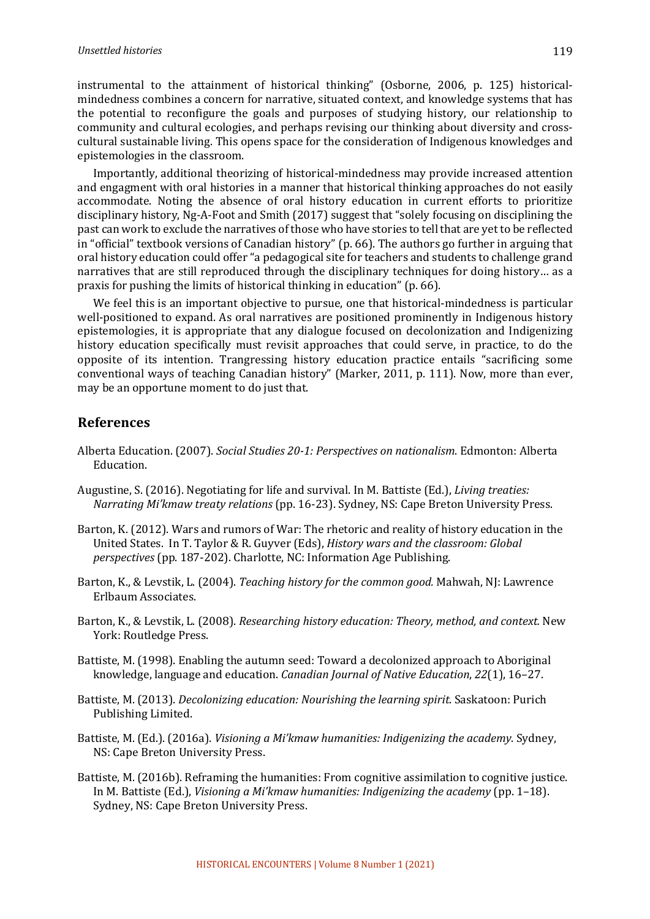instrumental to the attainment of historical thinking" (Osborne, 2006, p. 125) historicalmindedness combines a concern for narrative, situated context, and knowledge systems that has the potential to reconfigure the goals and purposes of studying history, our relationship to community and cultural ecologies, and perhaps revising our thinking about diversity and crosscultural sustainable living. This opens space for the consideration of Indigenous knowledges and epistemologies in the classroom.

Importantly, additional theorizing of historical-mindedness may provide increased attention and engagment with oral histories in a manner that historical thinking approaches do not easily accommodate. Noting the absence of oral history education in current efforts to prioritize disciplinary history, Ng-A-Foot and Smith (2017) suggest that "solely focusing on disciplining the past can work to exclude the narratives of those who have stories to tell that are yet to be reflected in "official" textbook versions of Canadian history" (p. 66). The authors go further in arguing that oral history education could offer "a pedagogical site for teachers and students to challenge grand narratives that are still reproduced through the disciplinary techniques for doing history... as a praxis for pushing the limits of historical thinking in education" (p. 66).

We feel this is an important objective to pursue, one that historical-mindedness is particular well-positioned to expand. As oral narratives are positioned prominently in Indigenous history epistemologies, it is appropriate that any dialogue focused on decolonization and Indigenizing history education specifically must revisit approaches that could serve, in practice, to do the opposite of its intention. Trangressing history education practice entails "sacrificing some conventional ways of teaching Canadian history" (Marker, 2011, p. 111). Now, more than ever, may be an opportune moment to do just that.

#### **References**

- Alberta Education. (2007). *Social Studies 20-1: Perspectives on nationalism*. Edmonton: Alberta Education.
- Augustine, S. (2016). Negotiating for life and survival. In M. Battiste (Ed.), *Living treaties: Narrating Mi'kmaw treaty relations* (pp. 16-23). Sydney, NS: Cape Breton University Press.
- Barton, K. (2012). Wars and rumors of War: The rhetoric and reality of history education in the United States. In T. Taylor & R. Guyver (Eds), *History wars and the classroom: Global perspectives* (pp. 187-202). Charlotte, NC: Information Age Publishing.
- Barton, K., & Levstik, L. (2004). *Teaching history for the common good.* Mahwah, NJ: Lawrence Erlbaum Associates.
- Barton, K., & Levstik, L. (2008). *Researching history education: Theory, method, and context.* New York: Routledge Press.
- Battiste, M. (1998). Enabling the autumn seed: Toward a decolonized approach to Aboriginal knowledge, language and education. *Canadian Journal of Native Education*, 22(1), 16-27.
- Battiste, M. (2013). *Decolonizing education: Nourishing the learning spirit*. Saskatoon: Purich Publishing Limited.
- Battiste, M. (Ed.). (2016a). *Visioning a Mi'kmaw humanities: Indigenizing the academy*. Sydney, NS: Cape Breton University Press.
- Battiste, M. (2016b). Reframing the humanities: From cognitive assimilation to cognitive justice. In M. Battiste (Ed.), *Visioning a Mi'kmaw humanities: Indigenizing the academy* (pp. 1–18). Sydney, NS: Cape Breton University Press.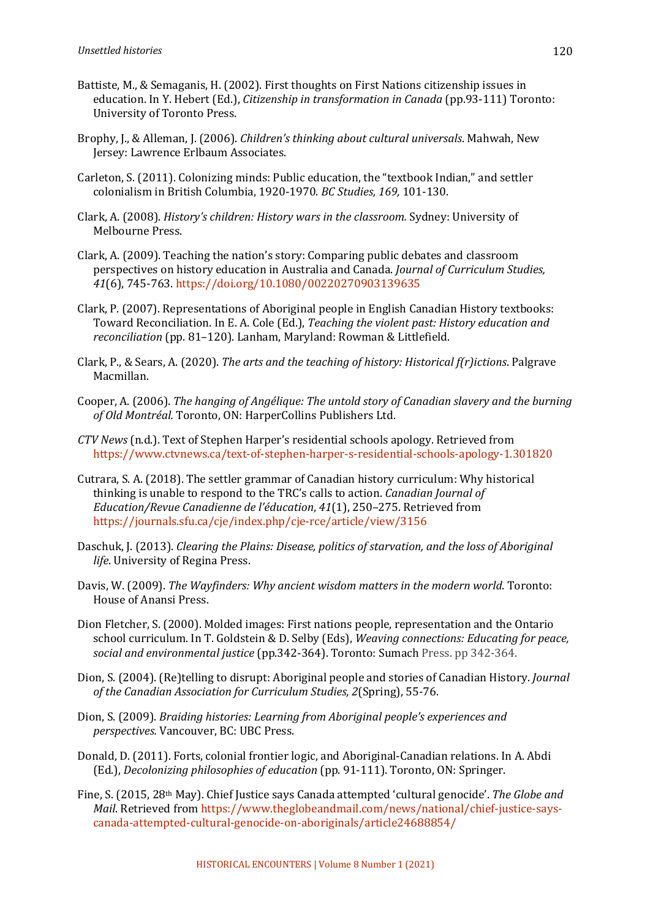- Battiste, M., & Semaganis, H. (2002). First thoughts on First Nations citizenship issues in education. In Y. Hebert (Ed.), *Citizenship in transformation in Canada* (pp.93-111) Toronto: University of Toronto Press.
- Brophy, J., & Alleman, J. (2006). *Children's thinking about cultural universals*. Mahwah, New Jersey: Lawrence Erlbaum Associates.
- Carleton, S. (2011). Colonizing minds: Public education, the "textbook Indian," and settler colonialism in British Columbia, 1920-1970. *BC Studies, 169, 101-130*.
- Clark, A. (2008). *History's children: History wars in the classroom.* Sydney: University of Melbourne Press.
- Clark, A. (2009). Teaching the nation's story: Comparing public debates and classroom perspectives on history education in Australia and Canada. *Journal of Curriculum Studies*, *41*(6), 745-763. https://doi.org/10.1080/00220270903139635
- Clark, P. (2007). Representations of Aboriginal people in English Canadian History textbooks: Toward Reconciliation. In E. A. Cole (Ed.), *Teaching the violent past: History education and* reconciliation (pp. 81-120). Lanham, Maryland: Rowman & Littlefield.
- Clark, P., & Sears, A. (2020). *The arts and the teaching of history: Historical f(r)ictions*. Palgrave Macmillan.
- Cooper, A. (2006). *The hanging of Angélique: The untold story of Canadian slavery and the burning* of Old Montréal. Toronto, ON: HarperCollins Publishers Ltd.
- *CTV News* (n.d.). Text of Stephen Harper's residential schools apology. Retrieved from https://www.ctvnews.ca/text-of-stephen-harper-s-residential-schools-apology-1.301820
- Cutrara, S. A. (2018). The settler grammar of Canadian history curriculum: Why historical thinking is unable to respond to the TRC's calls to action. *Canadian Journal of* Education/Revue Canadienne de l'éducation, 41(1), 250-275. Retrieved from https://journals.sfu.ca/cje/index.php/cje-rce/article/view/3156
- Daschuk, J. (2013). *Clearing the Plains: Disease, politics of starvation, and the loss of Aboriginal life*. University of Regina Press.
- Davis, W. (2009). *The Wayfinders: Why ancient wisdom matters in the modern world*. Toronto: House of Anansi Press.
- Dion Fletcher, S. (2000). Molded images: First nations people, representation and the Ontario school curriculum. In T. Goldstein & D. Selby (Eds), *Weaving connections: Educating for peace*, *social and environmental justice* (pp.342-364). Toronto: Sumach Press. pp 342-364.
- Dion, S. (2004). (Re)telling to disrupt: Aboriginal people and stories of Canadian History. *Journal* of the Canadian Association for Curriculum Studies, 2(Spring), 55-76.
- Dion, S. (2009). *Braiding histories: Learning from Aboriginal people's experiences and perspectives.* Vancouver, BC: UBC Press.
- Donald, D. (2011). Forts, colonial frontier logic, and Aboriginal-Canadian relations. In A. Abdi (Ed.), *Decolonizing philosophies of education* (pp. 91-111). Toronto, ON: Springer.
- Fine, S. (2015, 28<sup>th</sup> May). Chief Justice says Canada attempted 'cultural genocide'. *The Globe and Mail*. Retrieved from https://www.theglobeandmail.com/news/national/chief-justice-sayscanada-attempted-cultural-genocide-on-aboriginals/article24688854/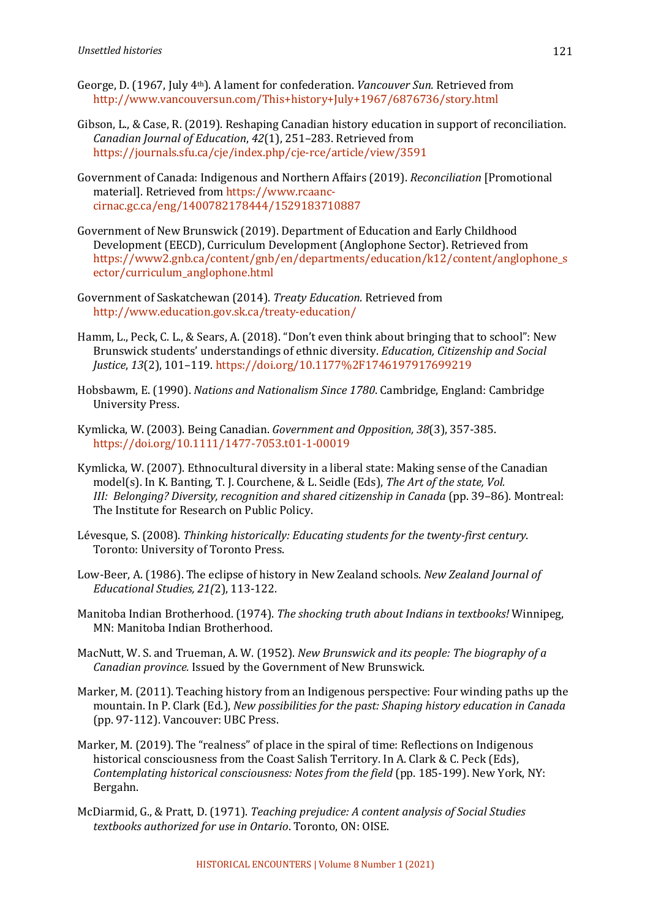- George, D. (1967, July 4<sup>th</sup>). A lament for confederation. *Vancouver Sun.* Retrieved from http://www.vancouversun.com/This+history+July+1967/6876736/story.html
- Gibson, L., & Case, R. (2019). Reshaping Canadian history education in support of reconciliation. *Canadian Journal of Education*, *42*(1), 251–283. Retrieved from https://journals.sfu.ca/cje/index.php/cje-rce/article/view/3591
- Government of Canada: Indigenous and Northern Affairs (2019). *Reconciliation* [Promotional material]. Retrieved from https://www.rcaanccirnac.gc.ca/eng/1400782178444/1529183710887
- Government of New Brunswick (2019). Department of Education and Early Childhood Development (EECD), Curriculum Development (Anglophone Sector). Retrieved from https://www2.gnb.ca/content/gnb/en/departments/education/k12/content/anglophone\_s ector/curriculum\_anglophone.html
- Government of Saskatchewan (2014). *Treaty Education*. Retrieved from http://www.education.gov.sk.ca/treaty-education/
- Hamm, L., Peck, C. L., & Sears, A. (2018). "Don't even think about bringing that to school": New Brunswick students' understandings of ethnic diversity. *Education, Citizenship and Social Justice*, *13*(2), 101–119. https://doi.org/10.1177%2F1746197917699219
- Hobsbawm, E. (1990). *Nations and Nationalism Since 1780*. Cambridge, England: Cambridge University Press.
- Kymlicka, W. (2003). Being Canadian. *Government and Opposition, 38*(3), 357-385. https://doi.org/10.1111/1477-7053.t01-1-00019
- Kymlicka, W. (2007). Ethnocultural diversity in a liberal state: Making sense of the Canadian model(s). In K. Banting, T. J. Courchene, & L. Seidle (Eds), The Art of the state, Vol. *III: Belonging? Diversity, recognition and shared citizenship in Canada* (pp. 39–86). Montreal: The Institute for Research on Public Policy.
- Lévesque, S. (2008). *Thinking historically: Educating students for the twenty-first century.* Toronto: University of Toronto Press.
- Low-Beer, A. (1986). The eclipse of history in New Zealand schools. *New Zealand Journal of Educational Studies, 21(*2), 113-122.
- Manitoba Indian Brotherhood. (1974). *The shocking truth about Indians in textbooks!* Winnipeg, MN: Manitoba Indian Brotherhood.
- MacNutt, W. S. and Trueman, A. W. (1952). *New Brunswick and its people: The biography of a Canadian province.* Issued by the Government of New Brunswick.
- Marker, M. (2011). Teaching history from an Indigenous perspective: Four winding paths up the mountain. In P. Clark (Ed.), *New possibilities for the past: Shaping history education in Canada* (pp. 97-112). Vancouver: UBC Press.
- Marker, M. (2019). The "realness" of place in the spiral of time: Reflections on Indigenous historical consciousness from the Coast Salish Territory. In A. Clark & C. Peck (Eds), *Contemplating historical consciousness: Notes from the field* (pp. 185-199). New York, NY: Bergahn.
- McDiarmid, G., & Pratt, D. (1971). *Teaching prejudice: A content analysis of Social Studies textbooks authorized for use in Ontario*. Toronto, ON: OISE.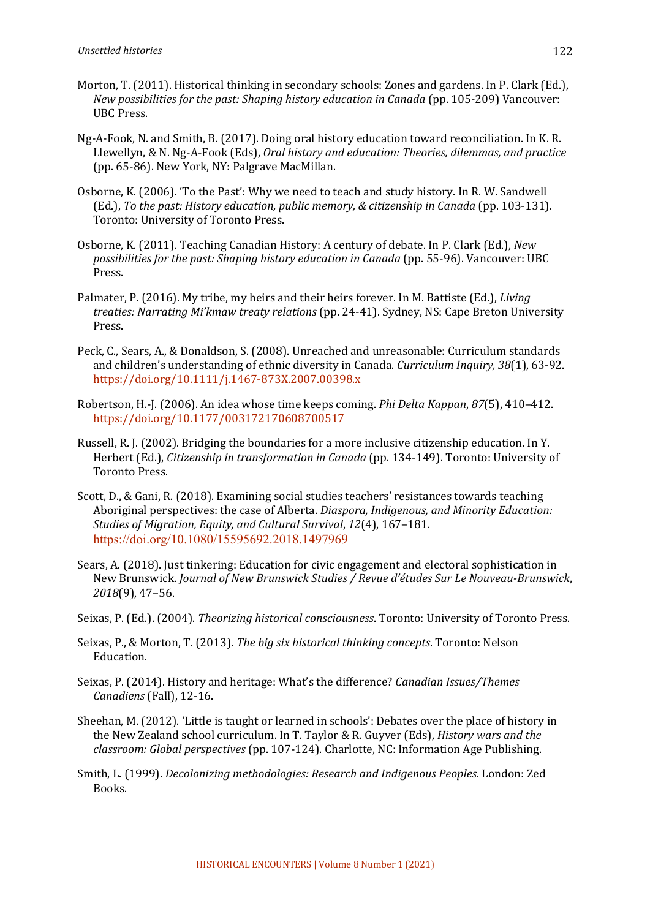- Morton, T. (2011). Historical thinking in secondary schools: Zones and gardens. In P. Clark (Ed.), *New possibilities for the past: Shaping history education in Canada* (pp. 105-209) Vancouver: UBC Press.
- Ng-A-Fook, N. and Smith, B. (2017). Doing oral history education toward reconciliation. In K. R. Llewellyn, & N. Ng-A-Fook (Eds), *Oral history and education: Theories, dilemmas, and practice* (pp. 65-86). New York, NY: Palgrave MacMillan.
- Osborne, K. (2006). 'To the Past': Why we need to teach and study history. In R. W. Sandwell (Ed.), To the past: History education, public memory, & citizenship in Canada (pp. 103-131). Toronto: University of Toronto Press.
- Osborne, K. (2011). Teaching Canadian History: A century of debate. In P. Clark (Ed.), *New possibilities for the past: Shaping history education in Canada* (pp. 55-96). Vancouver: UBC Press.
- Palmater, P. (2016). My tribe, my heirs and their heirs forever. In M. Battiste (Ed.), *Living* treaties: Narrating Mi'kmaw treaty relations (pp. 24-41). Sydney, NS: Cape Breton University Press.
- Peck, C., Sears, A., & Donaldson, S. (2008). Unreached and unreasonable: Curriculum standards and children's understanding of ethnic diversity in Canada. *Curriculum Inquiry, 38*(1), 63-92. https://doi.org/10.1111/j.1467-873X.2007.00398.x
- Robertson, H.-J. (2006). An idea whose time keeps coming. *Phi Delta Kappan*, 87(5), 410–412. https://doi.org/10.1177/003172170608700517
- Russell, R. J. (2002). Bridging the boundaries for a more inclusive citizenship education. In Y. Herbert (Ed.), *Citizenship in transformation in Canada* (pp. 134-149). Toronto: University of Toronto Press.
- Scott, D., & Gani, R. (2018). Examining social studies teachers' resistances towards teaching Aboriginal perspectives: the case of Alberta. *Diaspora, Indigenous, and Minority Education: Studies of Migration, Equity, and Cultural Survival, 12(4), 167-181.* https://doi.org/10.1080/15595692.2018.1497969
- Sears, A. (2018). Just tinkering: Education for civic engagement and electoral sophistication in New Brunswick. *Journal of New Brunswick Studies / Revue d'études Sur Le Nouveau-Brunswick*, *2018*(9), 47–56.
- Seixas, P. (Ed.). (2004). *Theorizing historical consciousness*. Toronto: University of Toronto Press.
- Seixas, P., & Morton, T. (2013). *The big six historical thinking concepts*. Toronto: Nelson Education.
- Seixas, P. (2014). History and heritage: What's the difference? *Canadian Issues/Themes Canadiens* (Fall), 12-16.
- Sheehan, M. (2012). 'Little is taught or learned in schools': Debates over the place of history in the New Zealand school curriculum. In T. Taylor & R. Guyver (Eds), *History wars and the classroom: Global perspectives* (pp. 107-124). Charlotte, NC: Information Age Publishing.
- Smith, L. (1999). *Decolonizing methodologies: Research and Indigenous Peoples*. London: Zed Books.